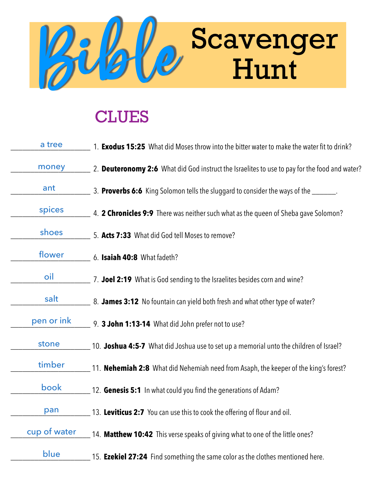

## **CLUES**

| a tree       | 1. <b>Exodus 15:25</b> What did Moses throw into the bitter water to make the water fit to drink? |
|--------------|---------------------------------------------------------------------------------------------------|
| money        | 2. Deuteronomy 2:6 What did God instruct the Israelites to use to pay for the food and water?     |
| ant          | 3. <b>Proverbs 6:6</b> King Solomon tells the sluggard to consider the ways of the _______.       |
| spices       | 4. <b>2 Chronicles 9:9</b> There was neither such what as the queen of Sheba gave Solomon?        |
| shoes        | 5. Acts 7:33 What did God tell Moses to remove?                                                   |
| flower       | 6. Isaiah 40:8 What fadeth?                                                                       |
| oil          | 7. Joel 2:19 What is God sending to the Israelites besides corn and wine?                         |
| salt         | 8. James 3:12 No fountain can yield both fresh and what other type of water?                      |
| pen or ink   | 9. 3 John 1:13-14 What did John prefer not to use?                                                |
| stone        | 10. Joshua 4:5-7 What did Joshua use to set up a memorial unto the children of Israel?            |
| timber       | 11. <b>Nehemiah 2:8</b> What did Nehemiah need from Asaph, the keeper of the king's forest?       |
| book         | 12. Genesis 5:1 In what could you find the generations of Adam?                                   |
| pan          | 13. Leviticus 2:7 You can use this to cook the offering of flour and oil.                         |
| cup of water | 14. Matthew 10:42 This verse speaks of giving what to one of the little ones?                     |
| blue         | 15. <b>Ezekiel 27:24</b> Find something the same color as the clothes mentioned here.             |